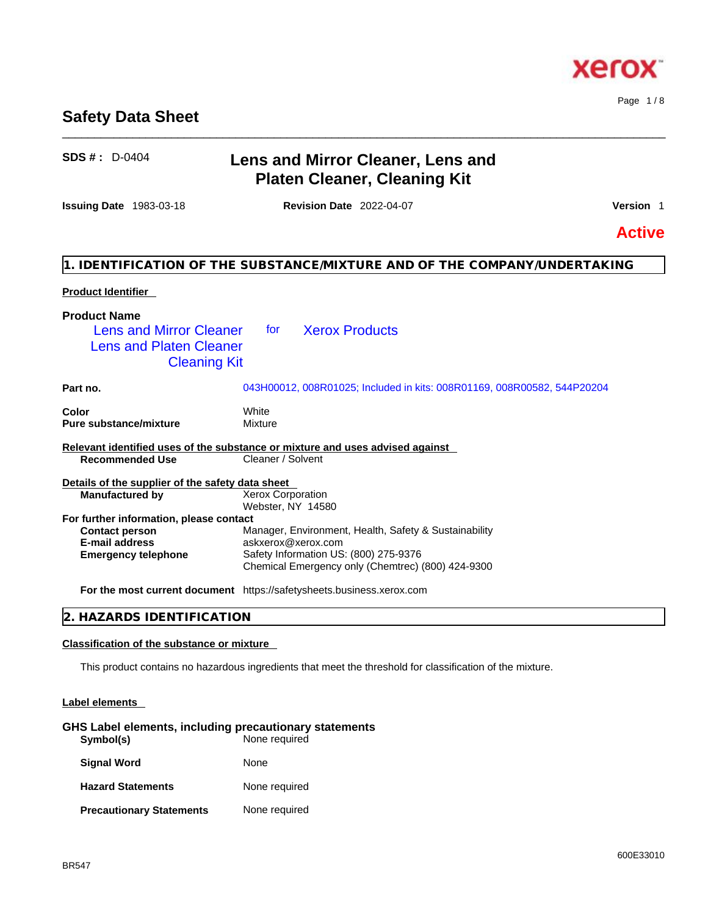### **Safety Data Sheet**

### **SDS # :** D-0404 **Lens and Mirror Cleaner, Lens and Platen Cleaner, Cleaning Kit Issuing Date** 1983-03-18 **Revision Date** 2022-04-07 **Version** 1 **1. IDENTIFICATION OF THE SUBSTANCE/MIXTURE AND OF THE COMPANY/UNDERTAKING Product Identifier Product Name Part no.** 043H00012, 008R01025; Included in kits: 008R01169, 008R00582, 544P20204 **Color** White **Pure substance/mixture Mixture Relevant identified uses of the substance or mixture and uses advised against Recommended Use** Cleaner / Solvent **Details of the supplier of the safety data sheet For further information, please contact Emergency telephone** Safety Information US: (800) 275-9376 Chemical Emergency only (Chemtrec) (800) 424-9300 **For the most current document** https://safetysheets.business.xerox.com Lens and Mirror Cleaner for Lens and Platen Cleaner Cleaning Kit **Xerox Products Manufactured by** Xerox Corporation Webster, NY 14580 **Contact person** Manager, Environment, Health, Safety & Sustainability **E-mail address** askxerox@xerox.com

\_\_\_\_\_\_\_\_\_\_\_\_\_\_\_\_\_\_\_\_\_\_\_\_\_\_\_\_\_\_\_\_\_\_\_\_\_\_\_\_\_\_\_\_\_\_\_\_\_\_\_\_\_\_\_\_\_\_\_\_\_\_\_\_\_\_\_\_\_\_\_\_\_\_\_\_\_\_\_\_\_\_\_\_\_\_\_\_\_\_\_\_\_\_

#### **2. HAZARDS IDENTIFICATION**

#### **Classification of the substance or mixture**

This product contains no hazardous ingredients that meet the threshold for classification of the mixture.

#### **Label elements**

#### **GHS Label elements, including precautionary statements Symbol(s)** None required

| <b>Signal Word</b>              | None          |
|---------------------------------|---------------|
| <b>Hazard Statements</b>        | None required |
| <b>Precautionary Statements</b> | None required |



Page 1 / 8

**Active**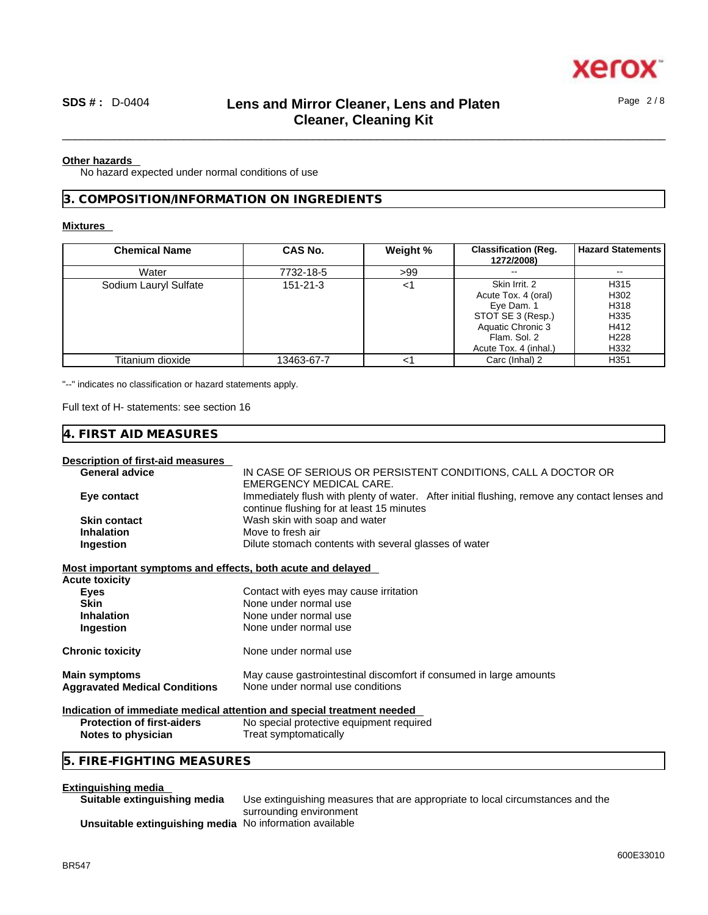

### \_\_\_\_\_\_\_\_\_\_\_\_\_\_\_\_\_\_\_\_\_\_\_\_\_\_\_\_\_\_\_\_\_\_\_\_\_\_\_\_\_\_\_\_\_\_\_\_\_\_\_\_\_\_\_\_\_\_\_\_\_\_\_\_\_\_\_\_\_\_\_\_\_\_\_\_\_\_\_\_\_\_\_\_\_\_\_\_\_\_\_\_\_\_ **SDS # :** D-0404 **Lens and Mirror Cleaner, Lens and Platen Cleaner, Cleaning Kit**

#### **Other hazards**

No hazard expected under normal conditions of use

### **3. COMPOSITION/INFORMATION ON INGREDIENTS**

#### **Mixtures**

| <b>Chemical Name</b>  | CAS No.        | Weight % | <b>Classification (Reg.</b><br>1272/2008) | <b>Hazard Statements</b> |
|-----------------------|----------------|----------|-------------------------------------------|--------------------------|
| Water                 | 7732-18-5      | >99      | $\overline{\phantom{m}}$                  | $\overline{\phantom{m}}$ |
| Sodium Lauryl Sulfate | $151 - 21 - 3$ | <1       | Skin Irrit, 2                             | H315                     |
|                       |                |          | Acute Tox. 4 (oral)                       | H302                     |
|                       |                |          | Eye Dam. 1                                | H318                     |
|                       |                |          | STOT SE 3 (Resp.)                         | H335                     |
|                       |                |          | Aquatic Chronic 3                         | H412                     |
|                       |                |          | Flam, Sol. 2                              | H <sub>228</sub>         |
|                       |                |          | Acute Tox. 4 (inhal.)                     | H332                     |
| Titanium dioxide      | 13463-67-7     | <1       | Carc (Inhal) 2                            | H <sub>351</sub>         |

"--" indicates no classification or hazard statements apply.

Full text of H- statements: see section 16

| 4. FIRST AID MEASURES             |                                                                                                                                            |
|-----------------------------------|--------------------------------------------------------------------------------------------------------------------------------------------|
| Description of first-aid measures |                                                                                                                                            |
| <b>General advice</b>             | IN CASE OF SERIOUS OR PERSISTENT CONDITIONS, CALL A DOCTOR OR<br>EMERGENCY MEDICAL CARE.                                                   |
| Eye contact                       | Immediately flush with plenty of water. After initial flushing, remove any contact lenses and<br>continue flushing for at least 15 minutes |
| <b>Skin contact</b>               | Wash skin with soap and water                                                                                                              |
| <b>Inhalation</b>                 | Move to fresh air                                                                                                                          |
| <b>Ingestion</b>                  | Dilute stomach contents with several glasses of water                                                                                      |

#### **Most important symptoms and effects, both acute and delayed**

| <u>MUST IMPORTANTE SYMPTOMIS AND CHECTS, DOME ACUTE AND DETAYED</u>                                             |
|-----------------------------------------------------------------------------------------------------------------|
|                                                                                                                 |
| Contact with eyes may cause irritation                                                                          |
| None under normal use                                                                                           |
| None under normal use                                                                                           |
| None under normal use                                                                                           |
| None under normal use                                                                                           |
| May cause gastrointestinal discomfort if consumed in large amounts<br>None under normal use conditions          |
| الرجال والمراجع والمستري والمراجع والمراجع والمتحرق والمتحال والمحال والمتالي والمستحل فالمراجع والمتحال والمحا |
|                                                                                                                 |

#### **Indication of immediate medical attention and special treatment needed**

| <b>Protection of first-aiders</b> | No special protective equipment required |
|-----------------------------------|------------------------------------------|
| Notes to physician                | Treat symptomatically                    |

#### **5. FIRE-FIGHTING MEASURES**

#### **Extinguishing media**

| Suitable extinguishing media                            | Use extinguishing measures that are appropriate to local circumstances and the |
|---------------------------------------------------------|--------------------------------------------------------------------------------|
|                                                         | surrounding environment                                                        |
| Unsuitable extinguishing media No information available |                                                                                |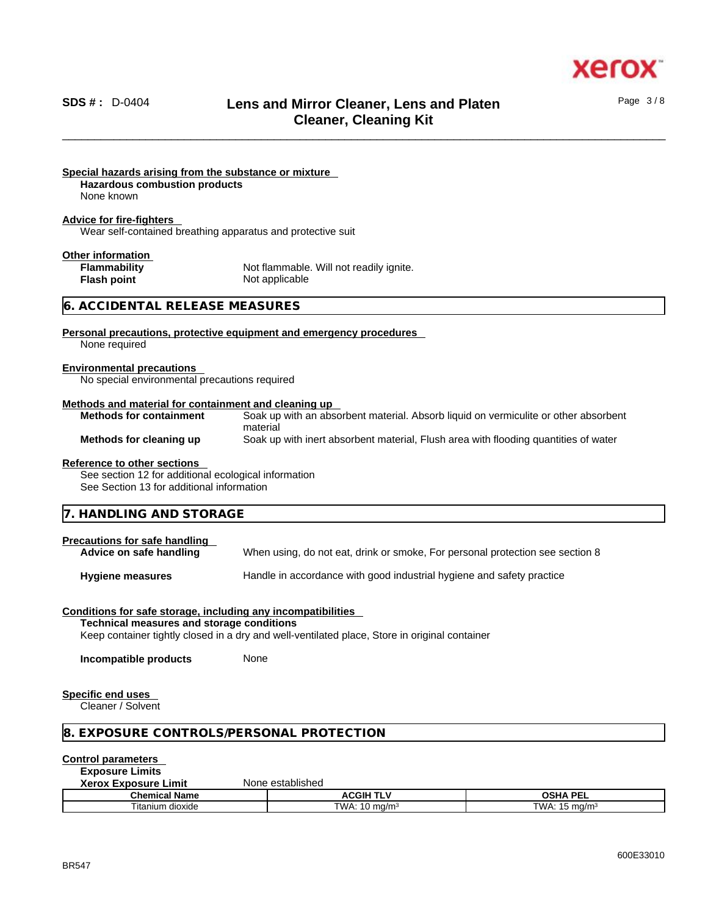

Page 3 / 8

### \_\_\_\_\_\_\_\_\_\_\_\_\_\_\_\_\_\_\_\_\_\_\_\_\_\_\_\_\_\_\_\_\_\_\_\_\_\_\_\_\_\_\_\_\_\_\_\_\_\_\_\_\_\_\_\_\_\_\_\_\_\_\_\_\_\_\_\_\_\_\_\_\_\_\_\_\_\_\_\_\_\_\_\_\_\_\_\_\_\_\_\_\_\_ **SDS # :** D-0404 **Lens and Mirror Cleaner, Lens and Platen Cleaner, Cleaning Kit**

| Special hazards arising from the substance or mixture<br><b>Hazardous combustion products</b><br>None known                             |                                                                                               |
|-----------------------------------------------------------------------------------------------------------------------------------------|-----------------------------------------------------------------------------------------------|
| <b>Advice for fire-fighters</b><br>Wear self-contained breathing apparatus and protective suit                                          |                                                                                               |
|                                                                                                                                         |                                                                                               |
| Other information                                                                                                                       |                                                                                               |
| <b>Flammability</b>                                                                                                                     | Not flammable. Will not readily ignite.                                                       |
| <b>Flash point</b>                                                                                                                      | Not applicable                                                                                |
| 6. ACCIDENTAL RELEASE MEASURES                                                                                                          |                                                                                               |
|                                                                                                                                         | Personal precautions, protective equipment and emergency procedures                           |
| None required                                                                                                                           |                                                                                               |
| <b>Environmental precautions</b><br>No special environmental precautions required                                                       |                                                                                               |
| Methods and material for containment and cleaning up                                                                                    |                                                                                               |
| <b>Methods for containment</b>                                                                                                          | Soak up with an absorbent material. Absorb liquid on vermiculite or other absorbent           |
|                                                                                                                                         | material                                                                                      |
| Methods for cleaning up                                                                                                                 | Soak up with inert absorbent material, Flush area with flooding quantities of water           |
| <b>Reference to other sections</b><br>See section 12 for additional ecological information<br>See Section 13 for additional information |                                                                                               |
| 7. HANDLING AND STORAGE                                                                                                                 |                                                                                               |
| <b>Precautions for safe handling</b>                                                                                                    |                                                                                               |
| Advice on safe handling                                                                                                                 | When using, do not eat, drink or smoke, For personal protection see section 8                 |
| <b>Hygiene measures</b>                                                                                                                 | Handle in accordance with good industrial hygiene and safety practice                         |
| Conditions for safe storage, including any incompatibilities                                                                            |                                                                                               |
| <b>Technical measures and storage conditions</b>                                                                                        |                                                                                               |
|                                                                                                                                         | Keep container tightly closed in a dry and well-ventilated place, Store in original container |
| Incompatible products                                                                                                                   | None                                                                                          |
| <b>Specific end uses</b><br>Cleaner / Solvent                                                                                           |                                                                                               |
|                                                                                                                                         | 8. EXPOSURE CONTROLS/PERSONAL PROTECTION                                                      |
| <b>Control parameters</b>                                                                                                               |                                                                                               |
| <b>Exposure Limits</b>                                                                                                                  |                                                                                               |
| <b>Xerox Exposure Limit</b>                                                                                                             | None established                                                                              |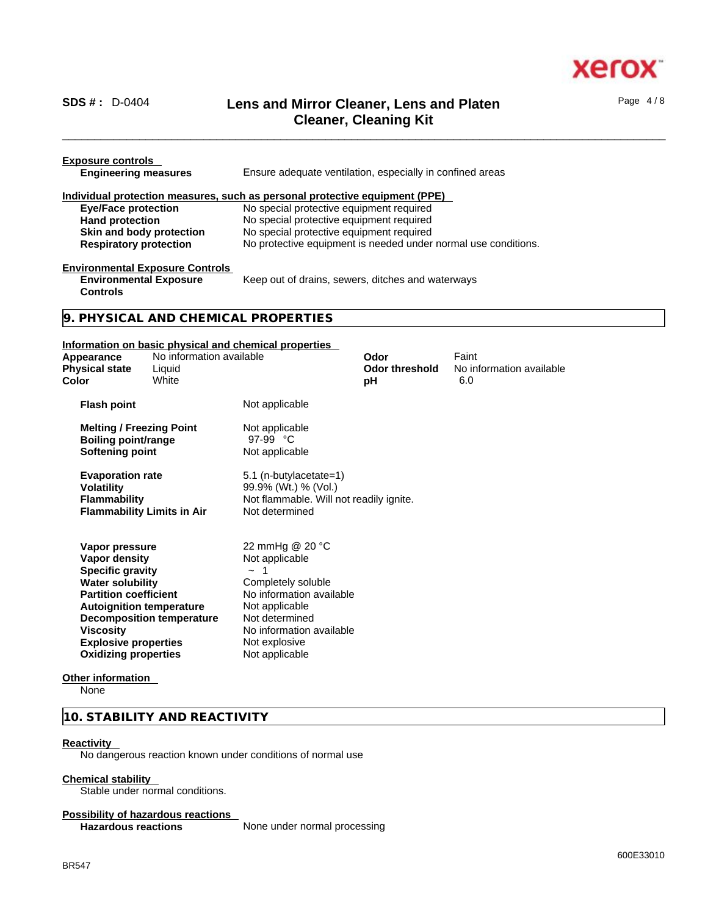

### \_\_\_\_\_\_\_\_\_\_\_\_\_\_\_\_\_\_\_\_\_\_\_\_\_\_\_\_\_\_\_\_\_\_\_\_\_\_\_\_\_\_\_\_\_\_\_\_\_\_\_\_\_\_\_\_\_\_\_\_\_\_\_\_\_\_\_\_\_\_\_\_\_\_\_\_\_\_\_\_\_\_\_\_\_\_\_\_\_\_\_\_\_\_ **SDS # :** D-0404 **Lens and Mirror Cleaner, Lens and Platen Cleaner, Cleaning Kit**

Page 4 / 8

| <b>Exposure controls</b><br><b>Engineering measures</b> | Ensure adequate ventilation, especially in confined areas                   |
|---------------------------------------------------------|-----------------------------------------------------------------------------|
|                                                         | Individual protection measures, such as personal protective equipment (PPE) |
| <b>Eye/Face protection</b>                              | No special protective equipment required                                    |
| <b>Hand protection</b>                                  | No special protective equipment required                                    |
| Skin and body protection                                | No special protective equipment required                                    |
| <b>Respiratory protection</b>                           | No protective equipment is needed under normal use conditions.              |
| <b>Environmental Exposure Controls</b>                  |                                                                             |
| <b>Environmental Exposure</b>                           | Keep out of drains, sewers, ditches and waterways                           |

**Controls** 

#### **9. PHYSICAL AND CHEMICAL PROPERTIES**

#### **Information on basic physical and chemical properties**

| Appearance<br><b>Physical state</b><br>Color                                                                                                                                                                                               | No information available<br>Liquid<br>White | <u>mismanon en saore prijorear and enemiear proportioo</u>                                                                                                                                         | Odor<br><b>Odor threshold</b><br>рH | Faint<br>No information available<br>6.0 |  |
|--------------------------------------------------------------------------------------------------------------------------------------------------------------------------------------------------------------------------------------------|---------------------------------------------|----------------------------------------------------------------------------------------------------------------------------------------------------------------------------------------------------|-------------------------------------|------------------------------------------|--|
| <b>Flash point</b>                                                                                                                                                                                                                         |                                             | Not applicable                                                                                                                                                                                     |                                     |                                          |  |
| <b>Melting / Freezing Point</b><br><b>Boiling point/range</b><br>Softening point                                                                                                                                                           |                                             | Not applicable<br>97-99 °C<br>Not applicable                                                                                                                                                       |                                     |                                          |  |
| <b>Evaporation rate</b><br><b>Volatility</b><br><b>Flammability</b><br><b>Flammability Limits in Air</b>                                                                                                                                   |                                             | 5.1 (n-butylacetate=1)<br>99.9% (Wt.) % (Vol.)<br>Not flammable. Will not readily ignite.<br>Not determined                                                                                        |                                     |                                          |  |
| Vapor pressure<br>Vapor density<br><b>Specific gravity</b><br><b>Water solubility</b><br><b>Partition coefficient</b><br><b>Autoignition temperature</b><br><b>Viscosity</b><br><b>Explosive properties</b><br><b>Oxidizing properties</b> | <b>Decomposition temperature</b>            | 22 mmHg @ 20 °C<br>Not applicable<br>$\sim$ 1<br>Completely soluble<br>No information available<br>Not applicable<br>Not determined<br>No information available<br>Not explosive<br>Not applicable |                                     |                                          |  |

#### **Other information**

None

#### **10. STABILITY AND REACTIVITY**

#### **Reactivity**

No dangerous reaction known under conditions of normal use

#### **Chemical stability**

Stable under normal conditions.

#### **Possibility of hazardous reactions**

**Hazardous reactions** None under normal processing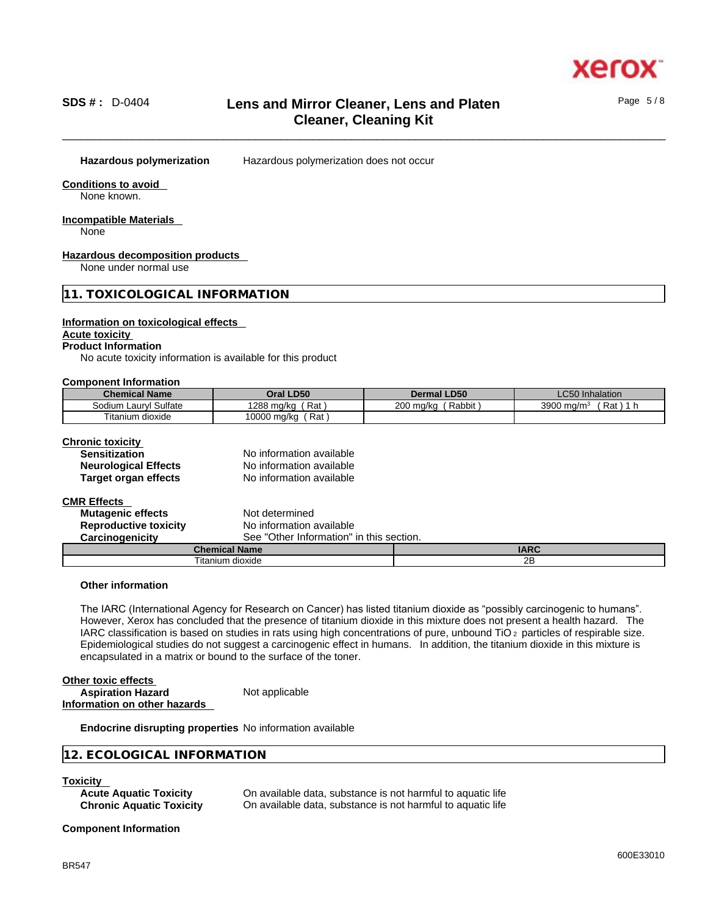

Page 5 / 8

### \_\_\_\_\_\_\_\_\_\_\_\_\_\_\_\_\_\_\_\_\_\_\_\_\_\_\_\_\_\_\_\_\_\_\_\_\_\_\_\_\_\_\_\_\_\_\_\_\_\_\_\_\_\_\_\_\_\_\_\_\_\_\_\_\_\_\_\_\_\_\_\_\_\_\_\_\_\_\_\_\_\_\_\_\_\_\_\_\_\_\_\_\_\_ **SDS # :** D-0404 **Lens and Mirror Cleaner, Lens and Platen Cleaner, Cleaning Kit**

**Hazardous polymerization** Hazardous polymerization does not occur

#### **Conditions to avoid**

None known.

#### **Incompatible Materials**

None

#### **Hazardous decomposition products**

None under normal use

#### **11. TOXICOLOGICAL INFORMATION**

#### **Information on toxicological effects**

#### **Acute toxicity**

#### **Product Information**

No acute toxicity information is available for this product

#### **Component Information**

| <b>Chemical Name</b>            | Oral LD50                   | <b>Dermal LD50</b>       | $\sim$ $\sim$ $\sim$<br><b>LC50 Inhalation</b> |
|---------------------------------|-----------------------------|--------------------------|------------------------------------------------|
| <b>Sulfate</b><br>Sodium Laurvl | 1288<br>Rat<br>ma/ka<br>. . | 200<br>Rabbit<br>∖ ma∕ka | 3900<br>Rat<br>$\overline{ }$<br>∍ma/mª<br>.   |
| --<br>Titanium dioxide          | Rat,<br>10000 ma/ka         |                          |                                                |

#### **Chronic toxicity**

| <b>Sensitization</b>        | No information available |
|-----------------------------|--------------------------|
| <b>Neurological Effects</b> | No information available |
| <b>Target organ effects</b> | No information available |

# **CMR Effects**

|                              | Chamisel Name                            |  |
|------------------------------|------------------------------------------|--|
| Carcinogenicity              | See "Other Information" in this section. |  |
| <b>Reproductive toxicity</b> | No information available                 |  |
| <b>Mutagenic effects</b>     | Not determined                           |  |
| .                            |                                          |  |

| mв.<br>$n_{\rm e}$                 | IADC     |
|------------------------------------|----------|
| $- \cdot$ .<br>⊺ıtanıun<br>dioxide | חר<br>2D |
|                                    |          |

#### **Other information**

The IARC (International Agency for Research on Cancer) has listed titanium dioxide as "possibly carcinogenic to humans". However, Xerox has concluded that the presence of titanium dioxide in this mixture does not present a health hazard. The IARC classification is based on studies in rats using high concentrations of pure, unbound TiO 2 particles of respirable size. Epidemiological studies do not suggest a carcinogenic effect in humans. In addition, the titanium dioxide in this mixture is encapsulated in a matrix or bound to the surface of the toner.

| Other toxic effects          |                |  |
|------------------------------|----------------|--|
| <b>Aspiration Hazard</b>     | Not applicable |  |
| Information on other hazards |                |  |

**Endocrine disrupting properties** No information available

#### **12. ECOLOGICAL INFORMATION**

**Toxicity<br>Acute Aquatic Toxicity** 

**Acute Aquatic Toxicity** On available data, substance is not harmful to aquatic life<br> **Chronic Aquatic Toxicity** On available data, substance is not harmful to aquatic life **Chronical above data, substance is not harmful to aquatic life** 

#### **Component Information**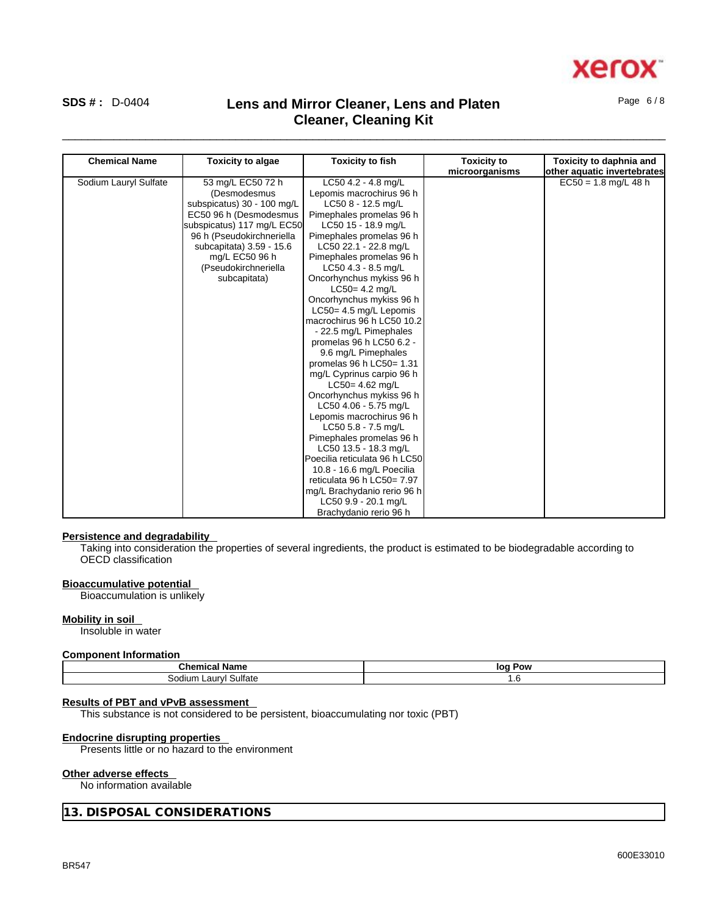# xero

### \_\_\_\_\_\_\_\_\_\_\_\_\_\_\_\_\_\_\_\_\_\_\_\_\_\_\_\_\_\_\_\_\_\_\_\_\_\_\_\_\_\_\_\_\_\_\_\_\_\_\_\_\_\_\_\_\_\_\_\_\_\_\_\_\_\_\_\_\_\_\_\_\_\_\_\_\_\_\_\_\_\_\_\_\_\_\_\_\_\_\_\_\_\_ **SDS # :** D-0404 **Lens and Mirror Cleaner, Lens and Platen Cleaner, Cleaning Kit**

Page 6 / 8

| <b>Chemical Name</b>  | <b>Toxicity to algae</b>   | <b>Toxicity to fish</b>       | <b>Toxicity to</b> | Toxicity to daphnia and     |
|-----------------------|----------------------------|-------------------------------|--------------------|-----------------------------|
|                       |                            |                               | microorganisms     | other aquatic invertebrates |
| Sodium Lauryl Sulfate | 53 mg/L EC50 72 h          | LC50 4.2 - 4.8 mg/L           |                    | $EC50 = 1.8$ mg/L 48 h      |
|                       | (Desmodesmus               | Lepomis macrochirus 96 h      |                    |                             |
|                       | subspicatus) 30 - 100 mg/L | LC50 8 - 12.5 mg/L            |                    |                             |
|                       | EC50 96 h (Desmodesmus     | Pimephales promelas 96 h      |                    |                             |
|                       | subspicatus) 117 mg/L EC50 | LC50 15 - 18.9 mg/L           |                    |                             |
|                       | 96 h (Pseudokirchneriella  | Pimephales promelas 96 h      |                    |                             |
|                       | subcapitata) 3.59 - 15.6   | LC50 22.1 - 22.8 mg/L         |                    |                             |
|                       | mg/L EC50 96 h             | Pimephales promelas 96 h      |                    |                             |
|                       | (Pseudokirchneriella       | LC50 4.3 - 8.5 mg/L           |                    |                             |
|                       | subcapitata)               | Oncorhynchus mykiss 96 h      |                    |                             |
|                       |                            | $LC50 = 4.2$ mg/L             |                    |                             |
|                       |                            | Oncorhynchus mykiss 96 h      |                    |                             |
|                       |                            | LC50= 4.5 mg/L Lepomis        |                    |                             |
|                       |                            | macrochirus 96 h LC50 10.2    |                    |                             |
|                       |                            | - 22.5 mg/L Pimephales        |                    |                             |
|                       |                            | promelas 96 h LC50 6.2 -      |                    |                             |
|                       |                            | 9.6 mg/L Pimephales           |                    |                             |
|                       |                            | promelas $96 h$ LC50= 1.31    |                    |                             |
|                       |                            | mg/L Cyprinus carpio 96 h     |                    |                             |
|                       |                            | $LC50 = 4.62$ mg/L            |                    |                             |
|                       |                            | Oncorhynchus mykiss 96 h      |                    |                             |
|                       |                            | LC50 4.06 - 5.75 mg/L         |                    |                             |
|                       |                            | Lepomis macrochirus 96 h      |                    |                             |
|                       |                            | LC50 5.8 - 7.5 mg/L           |                    |                             |
|                       |                            | Pimephales promelas 96 h      |                    |                             |
|                       |                            | LC50 13.5 - 18.3 mg/L         |                    |                             |
|                       |                            | Poecilia reticulata 96 h LC50 |                    |                             |
|                       |                            | 10.8 - 16.6 mg/L Poecilia     |                    |                             |
|                       |                            | reticulata 96 h LC50= 7.97    |                    |                             |
|                       |                            |                               |                    |                             |
|                       |                            | mg/L Brachydanio rerio 96 h   |                    |                             |
|                       |                            | LC50 9.9 - 20.1 mg/L          |                    |                             |
|                       |                            | Brachydanio rerio 96 h        |                    |                             |

#### **Persistence and degradability**

Taking into consideration the properties of several ingredients, the product is estimated to be biodegradable according to OECD classification

#### **Bioaccumulative potential**

Bioaccumulation is unlikely

#### **Mobility in soil**

Insoluble in water

#### **Component Information**

| <b>Chemical Name</b>        | log<br>Pow       |
|-----------------------------|------------------|
| Sulfate<br>sodium<br>∟aurv⊑ | $\cdot$ . $\cup$ |

#### **Results of PBT and vPvB assessment**

This substance is not considered to be persistent, bioaccumulating nor toxic (PBT)

#### **Endocrine disrupting properties**

Presents little or no hazard to the environment

#### **Other adverse effects**

No information available

**13. DISPOSAL CONSIDERATIONS**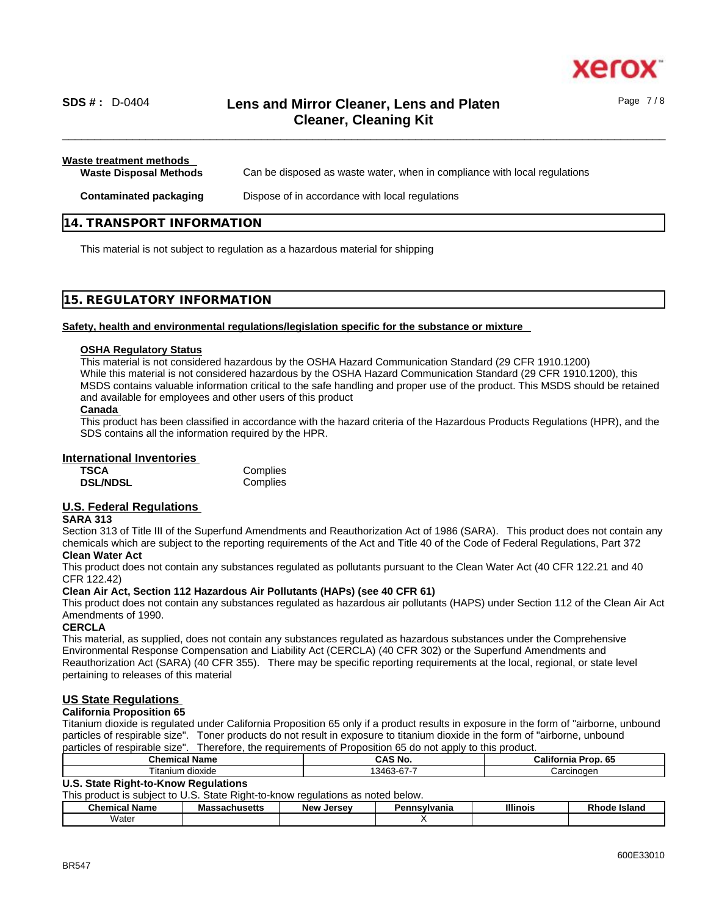

### \_\_\_\_\_\_\_\_\_\_\_\_\_\_\_\_\_\_\_\_\_\_\_\_\_\_\_\_\_\_\_\_\_\_\_\_\_\_\_\_\_\_\_\_\_\_\_\_\_\_\_\_\_\_\_\_\_\_\_\_\_\_\_\_\_\_\_\_\_\_\_\_\_\_\_\_\_\_\_\_\_\_\_\_\_\_\_\_\_\_\_\_\_\_ **SDS # :** D-0404 **Lens and Mirror Cleaner, Lens and Platen Cleaner, Cleaning Kit**

## **Waste treatment methods Waste Disposal Methods** Can be disposed as waste water, when in compliance with local regulations **Contaminated packaging** Dispose of in accordance with local regulations

#### **14. TRANSPORT INFORMATION**

This material is not subject to regulation as a hazardous material for shipping

#### **15. REGULATORY INFORMATION**

#### **Safety, health and environmental regulations/legislation specific for the substance or mixture**

#### **OSHA Regulatory Status**

This material is not considered hazardous by the OSHA Hazard Communication Standard (29 CFR 1910.1200) While this material is not considered hazardous by the OSHA Hazard Communication Standard (29 CFR 1910.1200), this MSDS contains valuable information critical to the safe handling and proper use of the product. This MSDS should be retained and available for employees and other users of this product

#### **Canada**

This product has been classified in accordance with the hazard criteria of the Hazardous Products Regulations (HPR), and the SDS contains all the information required by the HPR.

#### **International Inventories**

| TSCA            | Complies |
|-----------------|----------|
| <b>DSL/NDSL</b> | Complies |

#### **U.S. Federal Regulations**

#### **SARA 313**

Section 313 of Title III of the Superfund Amendments and Reauthorization Act of 1986 (SARA). This product does not contain any chemicals which are subject to the reporting requirements of the Act and Title 40 of the Code of Federal Regulations, Part 372 **Clean Water Act**

This product does not contain any substances regulated as pollutants pursuant to the Clean Water Act (40 CFR 122.21 and 40 CFR 122.42)

#### **Clean Air Act,Section 112 Hazardous Air Pollutants (HAPs) (see 40 CFR 61)**

This product does not contain any substances regulated as hazardous air pollutants (HAPS) under Section 112 of the Clean Air Act Amendments of 1990.

#### **CERCLA**

This material, as supplied, does not contain any substances regulated as hazardous substances under the Comprehensive Environmental Response Compensation and Liability Act (CERCLA) (40 CFR 302) or the Superfund Amendments and Reauthorization Act (SARA) (40 CFR 355). There may be specific reporting requirements at the local, regional, or state level pertaining to releases of this material

#### **US State Regulations**

#### **California Proposition 65**

Titanium dioxide is regulated under California Proposition 65 only if a product results in exposure in the form of "airborne, unbound particles of respirable size". Toner products do not result in exposure to titanium dioxide in the form of "airborne, unbound particles of respirable size". Therefore, the requirements of Proposition 65 do not apply to this product.

| Chemical<br>Name        | CAS No.                                       | 65<br>California<br>Prop |
|-------------------------|-----------------------------------------------|--------------------------|
| --<br>l itanium dioxide | $\sim$<br>. .<br>3463<br>. .<br>. . n /<br>ັບ | Carcinogen               |

#### **U.S. State Right-to-Know Regulations**

This product is subject to U.S. State Right-to-know regulations as noted below.

| :`hemical<br>Name | saunuseus | Jersev<br><b>New</b> | ™a∏lu | <b>Illinois</b> | <b>DL</b><br><b>Island</b> |
|-------------------|-----------|----------------------|-------|-----------------|----------------------------|
| Water             |           |                      |       |                 |                            |